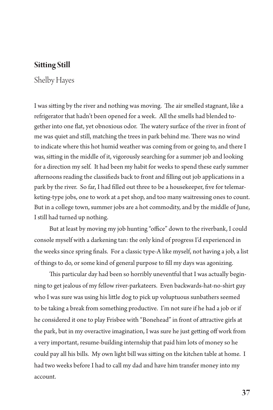## **Sitting Still**

## Shelby Hayes

I was sitting by the river and nothing was moving. The air smelled stagnant, like a refrigerator that hadn't been opened for a week. All the smells had blended together into one flat, yet obnoxious odor. The watery surface of the river in front of me was quiet and still, matching the trees in park behind me. There was no wind to indicate where this hot humid weather was coming from or going to, and there I was, sitting in the middle of it, vigorously searching for a summer job and looking for a direction my self. It had been my habit for weeks to spend these early summer afternoons reading the classifieds back to front and filling out job applications in a park by the river. So far, I had filled out three to be a housekeeper, five for telemarketing-type jobs, one to work at a pet shop, and too many waitressing ones to count. But in a college town, summer jobs are a hot commodity, and by the middle of June, I still had turned up nothing.

But at least by moving my job hunting "office" down to the riverbank, I could console myself with a darkening tan: the only kind of progress I'd experienced in the weeks since spring finals. For a classic type-A like myself, not having a job, a list of things to do, or some kind of general purpose to fill my days was agonizing.

This particular day had been so horribly uneventful that I was actually beginning to get jealous of my fellow river-parkateers. Even backwards-hat-no-shirt guy who I was sure was using his little dog to pick up voluptuous sunbathers seemed to be taking a break from something productive. I'm not sure if he had a job or if he considered it one to play Frisbee with "Bonehead" in front of attractive girls at the park, but in my overactive imagination, I was sure he just getting off work from a very important, resume-building internship that paid him lots of money so he could pay all his bills. My own light bill was sitting on the kitchen table at home. I had two weeks before I had to call my dad and have him transfer money into my account.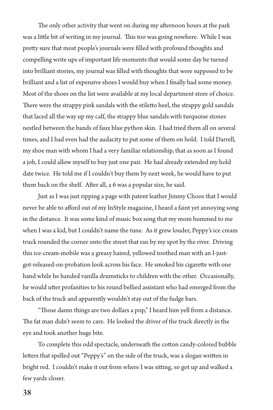The only other activity that went on during my afternoon hours at the park was a little bit of writing in my journal. This too was going nowhere. While I was pretty sure that most people's journals were filled with profound thoughts and compelling write ups of important life moments that would some day be turned into brilliant stories, my journal was filled with thoughts that were supposed to be brilliant and a list of expensive shoes I would buy when I finally had some money. Most of the shoes on the list were available at my local department store of choice. There were the strappy pink sandals with the stiletto heel, the strappy gold sandals that laced all the way up my calf, the strappy blue sandals with turquoise stones nestled between the bands of faux blue python skin. I had tried them all on several times, and I had even had the audacity to put some of them on hold. I told Darrell, my shoe man with whom I had a very familiar relationship, that as soon as I found a job, I could allow myself to buy just one pair. He had already extended my hold date twice. He told me if I couldn't buy them by next week, he would have to put them back on the shelf. After all, a 6 was a popular size, he said.

Just as I was just ripping a page with patent leather Jimmy Choos that I would never be able to afford out of my InStyle magazine, I heard a faint yet annoying song in the distance. It was some kind of music box song that my mom hummed to me when I was a kid, but I couldn't name the tune. As it grew louder, Peppy's ice cream truck rounded the corner onto the street that ran by my spot by the river. Driving this ice-cream-mobile was a greasy haired, yellowed toothed man with an I-justgot-released-on-probation look across his face. He smoked his cigarette with one hand while he handed vanilla drumsticks to children with the other. Occasionally, he would utter profanities to his round bellied assistant who had emerged from the back of the truck and apparently wouldn't stay out of the fudge bars.

"Those damn things are two dollars a pop," I heard him yell from a distance. The fat man didn't seem to care. He looked the driver of the truck directly in the eye and took another huge bite.

To complete this odd spectacle, underneath the cotton candy-colored bubble letters that spelled out "Peppy's" on the side of the truck, was a slogan written in bright red. I couldn't make it out from where I was sitting, so got up and walked a few yards closer.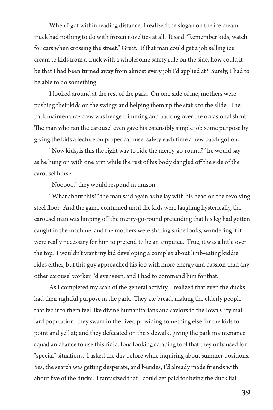When I got within reading distance, I realized the slogan on the ice cream truck had nothing to do with frozen novelties at all. It said "Remember kids, watch for cars when crossing the street." Great. If that man could get a job selling ice cream to kids from a truck with a wholesome safety rule on the side, how could it be that I had been turned away from almost every job I'd applied at? Surely, I had to be able to do something.

I looked around at the rest of the park. On one side of me, mothers were pushing their kids on the swings and helping them up the stairs to the slide. The park maintenance crew was hedge trimming and backing over the occasional shrub. The man who ran the carousel even gave his ostensibly simple job some purpose by giving the kids a lecture on proper carousel safety each time a new batch got on.

"Now kids, is this the right way to ride the merry-go-round?" he would say as he hung on with one arm while the rest of his body dangled off the side of the carousel horse.

"Nooooo," they would respond in unison.

"What about this?" the man said again as he lay with his head on the revolving steel floor. And the game continued until the kids were laughing hysterically, the carousel man was limping off the merry-go-round pretending that his leg had gotten caught in the machine, and the mothers were sharing snide looks, wondering if it were really necessary for him to pretend to be an amputee. True, it was a little over the top. I wouldn't want my kid developing a complex about limb-eating kiddie rides either, but this guy approached his job with more energy and passion than any other carousel worker I'd ever seen, and I had to commend him for that.

As I completed my scan of the general activity, I realized that even the ducks had their rightful purpose in the park. They ate bread, making the elderly people that fed it to them feel like divine humanitarians and saviors to the Iowa City mallard population; they swam in the river, providing something else for the kids to point and yell at; and they defecated on the sidewalk, giving the park maintenance squad an chance to use this ridiculous looking scraping tool that they only used for "special" situations. I asked the day before while inquiring about summer positions. Yes, the search was getting desperate, and besides, I'd already made friends with about five of the ducks. I fantasized that I could get paid for being the duck liai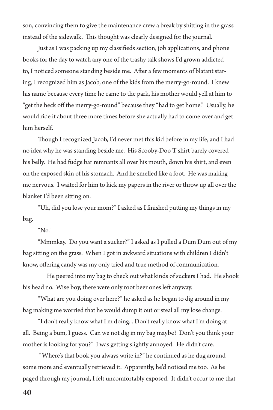son, convincing them to give the maintenance crew a break by shitting in the grass instead of the sidewalk. This thought was clearly designed for the journal.

Just as I was packing up my classifieds section, job applications, and phone books for the day to watch any one of the trashy talk shows I'd grown addicted to, I noticed someone standing beside me. After a few moments of blatant staring, I recognized him as Jacob, one of the kids from the merry-go-round. I knew his name because every time he came to the park, his mother would yell at him to "get the heck off the merry-go-round" because they "had to get home." Usually, he would ride it about three more times before she actually had to come over and get him herself.

Though I recognized Jacob, I'd never met this kid before in my life, and I had no idea why he was standing beside me. His Scooby-Doo T shirt barely covered his belly. He had fudge bar remnants all over his mouth, down his shirt, and even on the exposed skin of his stomach. And he smelled like a foot. He was making me nervous. I waited for him to kick my papers in the river or throw up all over the blanket I'd been sitting on.

"Uh, did you lose your mom?" I asked as I finished putting my things in my bag.

"No."

"Mmmkay. Do you want a sucker?" I asked as I pulled a Dum Dum out of my bag sitting on the grass. When I got in awkward situations with children I didn't know, offering candy was my only tried and true method of communication.

 He peered into my bag to check out what kinds of suckers I had. He shook his head no. Wise boy, there were only root beer ones left anyway.

"What are you doing over here?" he asked as he began to dig around in my bag making me worried that he would dump it out or steal all my lose change.

"I don't really know what I'm doing... Don't really know what I'm doing at all. Being a bum, I guess. Can we not dig in my bag maybe? Don't you think your mother is looking for you?" I was getting slightly annoyed. He didn't care.

 "Where's that book you always write in?" he continued as he dug around some more and eventually retrieved it. Apparently, he'd noticed me too. As he paged through my journal, I felt uncomfortably exposed. It didn't occur to me that